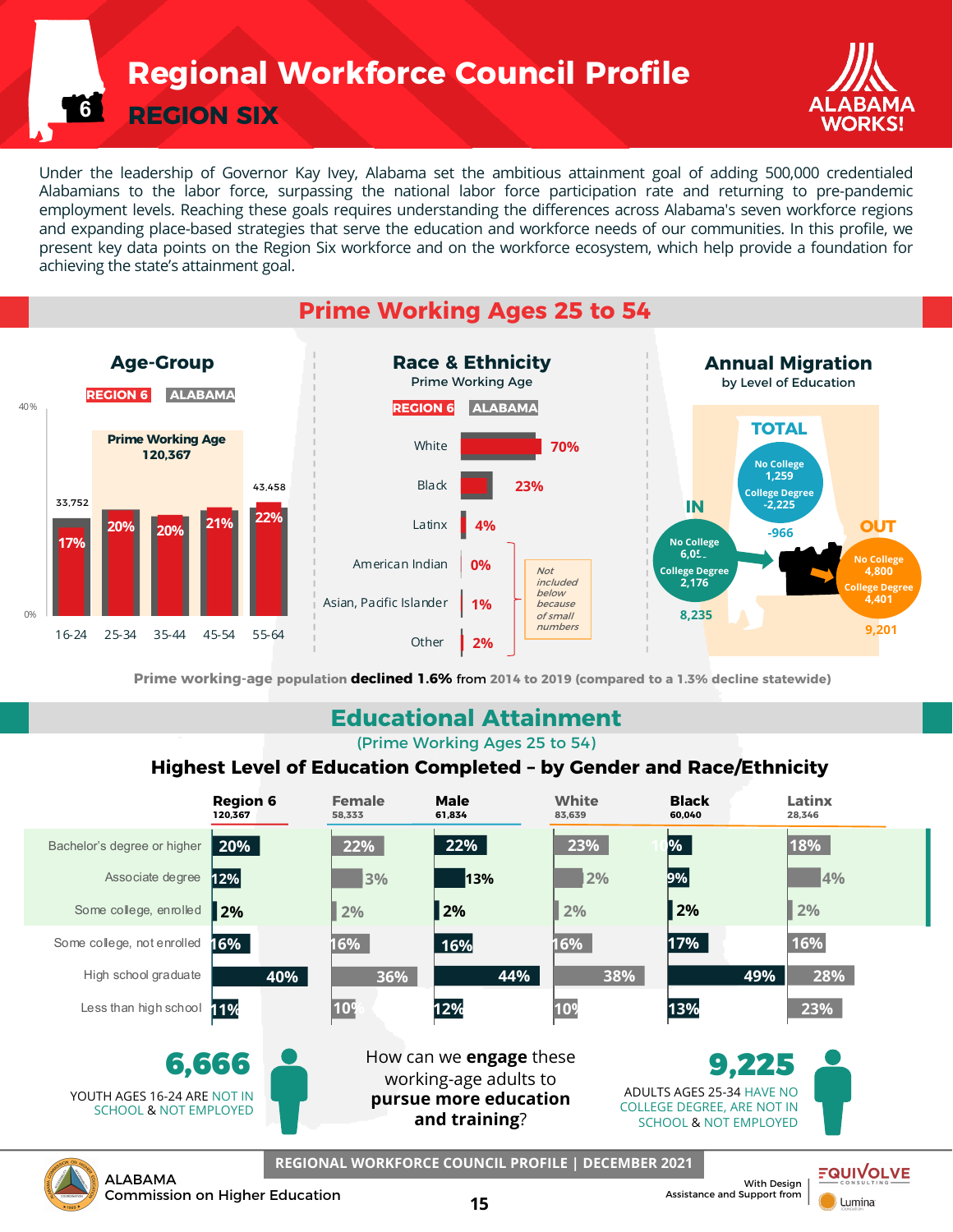**Regional Workforce Council Profile**

**REGION SIX**

**6**



Under the leadership of Governor Kay Ivey, Alabama set the ambitious attainment goal of adding 500,000 credentialed Alabamians to the labor force, surpassing the national labor force participation rate and returning to pre-pandemic employment levels. Reaching these goals requires understanding the differences across Alabama's seven workforce regions and expanding place-based strategies that serve the education and workforce needs of our communities. In this profile, we present key data points on the Region Six workforce and on the workforce ecosystem, which help provide a foundation for achieving the state's attainment goal.



**Prime working-age population declined 1.6%** from **2014 to 2019 (compared to a 1.3% decline statewide)**

### **Educational Attainment**

(Prime Working Ages 25 to 54)

#### **Highest Level of Education Completed – by Gender and Race/Ethnicity**